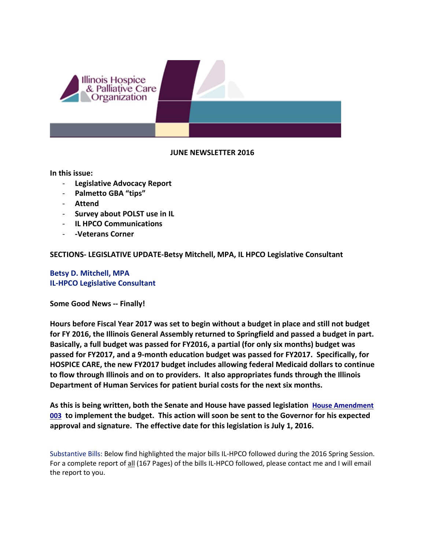

#### **JUNE NEWSLETTER 2016**

**In this issue:**

- **Legislative Advocacy Report**
- **Palmetto GBA "tips"**
- **Attend**
- **Survey about POLST use in IL**
- **IL HPCO Communications**
- **-Veterans Corner**

**SECTIONS- LEGISLATIVE UPDATE-Betsy Mitchell, MPA, IL HPCO Legislative Consultant**

**Betsy D. Mitchell, MPA IL-HPCO Legislative Consultant**

**Some Good News -- Finally!**

**Hours before Fiscal Year 2017 was set to begin without a budget in place and still not budget for FY 2016, the Illinois General Assembly returned to Springfield and passed a budget in part. Basically, a full budget was passed for FY2016, a partial (for only six months) budget was passed for FY2017, and a 9-month education budget was passed for FY2017. Specifically, for HOSPICE CARE, the new FY2017 budget includes allowing federal Medicaid dollars to continue to flow through Illinois and on to providers. It also appropriates funds through the Illinois Department of Human Services for patient burial costs for the next six months.** 

**As this is being written, both the Senate and House have passed legislation [House Amendment](http://www.ilga.gov/legislation/fulltext.asp?DocName=09900SB2047ham003&GA=99&SessionId=88&DocTypeId=SB&LegID=90591&DocNum=2047&GAID=13&Session=)  [003](http://www.ilga.gov/legislation/fulltext.asp?DocName=09900SB2047ham003&GA=99&SessionId=88&DocTypeId=SB&LegID=90591&DocNum=2047&GAID=13&Session=) to implement the budget. This action will soon be sent to the Governor for his expected approval and signature. The effective date for this legislation is July 1, 2016.** 

Substantive Bills: Below find highlighted the major bills IL-HPCO followed during the 2016 Spring Session. For a complete report of all (167 Pages) of the bills IL-HPCO followed, please contact me and I will email the report to you.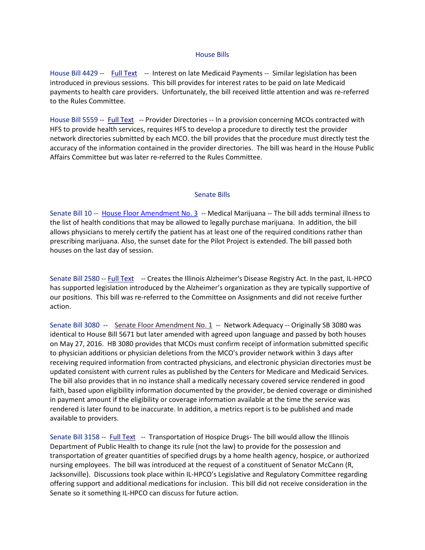#### House Bills

House Bill 4429 -- [Full Text](http://www.ilga.gov/legislation/fulltext.asp?DocName=&SessionId=88&GA=99&DocTypeId=HB&DocNum=4429&GAID=13&LegID=93234&SpecSess=&Session=) -- Interest on late Medicaid Payments -- Similar legislation has been introduced in previous sessions. This bill provides for interest rates to be paid on late Medicaid payments to health care providers. Unfortunately, the bill received little attention and was re-referred to the Rules Committee.

House Bill 5559 -- [Full Text](http://www.ilga.gov/legislation/fulltext.asp?DocName=&SessionId=88&GA=99&DocTypeId=HB&DocNum=5559&GAID=13&LegID=94987&SpecSess=&Session=) -- Provider Directories -- In a provision concerning MCOs contracted with HFS to provide health services, requires HFS to develop a procedure to directly test the provider network directories submitted by each MCO. the bill provides that the procedure must directly test the accuracy of the information contained in the provider directories. The bill was heard in the House Public Affairs Committee but was later re-referred to the Rules Committee.

#### Senate Bills

Senate Bill 10 -- House Floor Amendment No. 3 -- Medical Marijuana -- The bill adds terminal illness to the list of health conditions that may be allowed to legally purchase marijuana. In addition, the bill allows physicians to merely certify the patient has at least one of the required conditions rather than prescribing marijuana. Also, the sunset date for the Pilot Project is extended. The bill passed both houses on the last day of session.

Senate Bill 2580 -- [Full Text](http://www.ilga.gov/legislation/fulltext.asp?DocName=&SessionId=88&GA=99&DocTypeId=SB&DocNum=2580&GAID=13&LegID=95580&SpecSess=&Session=) -- Creates the Illinois Alzheimer's Disease Registry Act. In the past, IL-HPCO has supported legislation introduced by the Alzheimer's organization as they are typically supportive of our positions. This bill was re-referred to the Committee on Assignments and did not receive further action.

Senate Bill 3080 -- Senate Floor Amendment No. 1 -- Network Adequacy -- Originally SB 3080 was identical to House Bill 5671 but later amended with agreed upon language and passed by both houses on May 27, 2016. HB 3080 provides that MCOs must confirm receipt of information submitted specific to physician additions or physician deletions from the MCO's provider network within 3 days after receiving required information from contracted physicians, and electronic physician directories must be updated consistent with current rules as published by the Centers for Medicare and Medicaid Services. The bill also provides that in no instance shall a medically necessary covered service rendered in good faith, based upon eligibility information documented by the provider, be denied coverage or diminished in payment amount if the eligibility or coverage information available at the time the service was rendered is later found to be inaccurate. In addition, a metrics report is to be published and made available to providers.

Senate Bill 3158 -- [Full Text](http://www.ilga.gov/legislation/fulltext.asp?DocName=&SessionId=88&GA=99&DocTypeId=SB&DocNum=3158&GAID=13&LegID=96500&SpecSess=&Session=) -- Transportation of Hospice Drugs- The bill would allow the Illinois Department of Public Health to change its rule (not the law) to provide for the possession and transportation of greater quantities of specified drugs by a home health agency, hospice, or authorized nursing employees. The bill was introduced at the request of a constituent of Senator McCann (R, Jacksonville). Discussions took place within IL-HPCO's Legislative and Regulatory Committee regarding offering support and additional medications for inclusion. This bill did not receive consideration in the Senate so it something IL-HPCO can discuss for future action.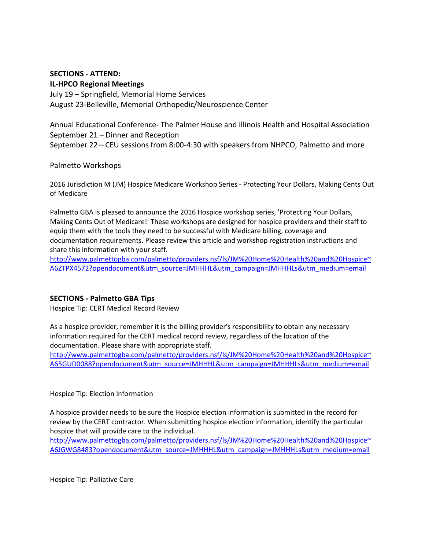# **SECTIONS - ATTEND:**

#### **IL-HPCO Regional Meetings**

July 19 – Springfield, Memorial Home Services August 23-Belleville, Memorial Orthopedic/Neuroscience Center

Annual Educational Conference- The Palmer House and Illinois Health and Hospital Association September 21 – Dinner and Reception September 22—CEU sessions from 8:00-4:30 with speakers from NHPCO, Palmetto and more

#### Palmetto Workshops

2016 Jurisdiction M (JM) Hospice Medicare Workshop Series - Protecting Your Dollars, Making Cents Out of Medicare

Palmetto GBA is pleased to announce the 2016 Hospice workshop series, 'Protecting Your Dollars, Making Cents Out of Medicare!' These workshops are designed for hospice providers and their staff to equip them with the tools they need to be successful with Medicare billing, coverage and documentation requirements. Please review this article and workshop registration instructions and share this information with your staff.

[http://www.palmettogba.com/palmetto/providers.nsf/ls/JM%20Home%20Health%20and%20Hospice~](http://www.palmettogba.com/palmetto/providers.nsf/ls/JM%20Home%20Health%20and%20Hospice%7EA6ZTPX4572?opendocument&utm_source=JMHHHL&utm_campaign=JMHHHLs&utm_medium=email) [A6ZTPX4572?opendocument&utm\\_source=JMHHHL&utm\\_campaign=JMHHHLs&utm\\_medium=email](http://www.palmettogba.com/palmetto/providers.nsf/ls/JM%20Home%20Health%20and%20Hospice%7EA6ZTPX4572?opendocument&utm_source=JMHHHL&utm_campaign=JMHHHLs&utm_medium=email)

## **SECTIONS - Palmetto GBA Tips**

Hospice Tip: CERT Medical Record Review

As a hospice provider, remember it is the billing provider's responsibility to obtain any necessary information required for the CERT medical record review, regardless of the location of the documentation. Please share with appropriate staff.

[http://www.palmettogba.com/palmetto/providers.nsf/ls/JM%20Home%20Health%20and%20Hospice~](http://www.palmettogba.com/palmetto/providers.nsf/ls/JM%20Home%20Health%20and%20Hospice%7EA65GUD0088?opendocument&utm_source=JMHHHL&utm_campaign=JMHHHLs&utm_medium=email) [A65GUD0088?opendocument&utm\\_source=JMHHHL&utm\\_campaign=JMHHHLs&utm\\_medium=email](http://www.palmettogba.com/palmetto/providers.nsf/ls/JM%20Home%20Health%20and%20Hospice%7EA65GUD0088?opendocument&utm_source=JMHHHL&utm_campaign=JMHHHLs&utm_medium=email)

#### Hospice Tip: Election Information

A hospice provider needs to be sure the Hospice election information is submitted in the record for review by the CERT contractor. When submitting hospice election information, identify the particular hospice that will provide care to the individual.

[http://www.palmettogba.com/palmetto/providers.nsf/ls/JM%20Home%20Health%20and%20Hospice~](http://www.palmettogba.com/palmetto/providers.nsf/ls/JM%20Home%20Health%20and%20Hospice%7EA6JGWG8483?opendocument&utm_source=JMHHHL&utm_campaign=JMHHHLs&utm_medium=email) [A6JGWG8483?opendocument&utm\\_source=JMHHHL&utm\\_campaign=JMHHHLs&utm\\_medium=email](http://www.palmettogba.com/palmetto/providers.nsf/ls/JM%20Home%20Health%20and%20Hospice%7EA6JGWG8483?opendocument&utm_source=JMHHHL&utm_campaign=JMHHHLs&utm_medium=email)

Hospice Tip: Palliative Care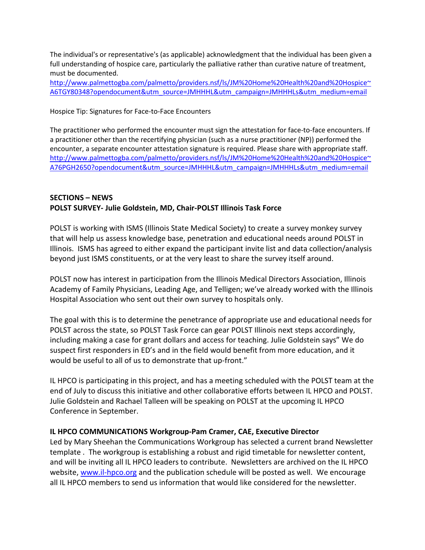The individual's or representative's (as applicable) acknowledgment that the individual has been given a full understanding of hospice care, particularly the palliative rather than curative nature of treatment, must be documented.

[http://www.palmettogba.com/palmetto/providers.nsf/ls/JM%20Home%20Health%20and%20Hospice~](http://www.palmettogba.com/palmetto/providers.nsf/ls/JM%20Home%20Health%20and%20Hospice%7EA6TGY80348?opendocument&utm_source=JMHHHL&utm_campaign=JMHHHLs&utm_medium=email) [A6TGY80348?opendocument&utm\\_source=JMHHHL&utm\\_campaign=JMHHHLs&utm\\_medium=email](http://www.palmettogba.com/palmetto/providers.nsf/ls/JM%20Home%20Health%20and%20Hospice%7EA6TGY80348?opendocument&utm_source=JMHHHL&utm_campaign=JMHHHLs&utm_medium=email)

Hospice Tip: Signatures for Face-to-Face Encounters

The practitioner who performed the encounter must sign the attestation for face-to-face encounters. If a practitioner other than the recertifying physician (such as a nurse practitioner (NP)) performed the encounter, a separate encounter attestation signature is required. Please share with appropriate staff. [http://www.palmettogba.com/palmetto/providers.nsf/ls/JM%20Home%20Health%20and%20Hospice~](http://www.palmettogba.com/palmetto/providers.nsf/ls/JM%20Home%20Health%20and%20Hospice%7EA76PGH2650?opendocument&utm_source=JMHHHL&utm_campaign=JMHHHLs&utm_medium=email) [A76PGH2650?opendocument&utm\\_source=JMHHHL&utm\\_campaign=JMHHHLs&utm\\_medium=email](http://www.palmettogba.com/palmetto/providers.nsf/ls/JM%20Home%20Health%20and%20Hospice%7EA76PGH2650?opendocument&utm_source=JMHHHL&utm_campaign=JMHHHLs&utm_medium=email)

## **SECTIONS – NEWS POLST SURVEY- Julie Goldstein, MD, Chair-POLST Illinois Task Force**

POLST is working with ISMS (Illinois State Medical Society) to create a survey monkey survey that will help us assess knowledge base, penetration and educational needs around POLST in Illinois. ISMS has agreed to either expand the participant invite list and data collection/analysis beyond just ISMS constituents, or at the very least to share the survey itself around.

POLST now has interest in participation from the Illinois Medical Directors Association, Illinois Academy of Family Physicians, Leading Age, and Telligen; we've already worked with the Illinois Hospital Association who sent out their own survey to hospitals only.

The goal with this is to determine the penetrance of appropriate use and educational needs for POLST across the state, so POLST Task Force can gear POLST Illinois next steps accordingly, including making a case for grant dollars and access for teaching. Julie Goldstein says" We do suspect first responders in ED's and in the field would benefit from more education, and it would be useful to all of us to demonstrate that up-front."

IL HPCO is participating in this project, and has a meeting scheduled with the POLST team at the end of July to discuss this initiative and other collaborative efforts between IL HPCO and POLST. Julie Goldstein and Rachael Talleen will be speaking on POLST at the upcoming IL HPCO Conference in September.

## **IL HPCO COMMUNICATIONS Workgroup-Pam Cramer, CAE, Executive Director**

Led by Mary Sheehan the Communications Workgroup has selected a current brand Newsletter template . The workgroup is establishing a robust and rigid timetable for newsletter content, and will be inviting all IL HPCO leaders to contribute. Newsletters are archived on the IL HPCO website, [www.il-hpco.org](http://www.il-hpco.org/) and the publication schedule will be posted as well. We encourage all IL HPCO members to send us information that would like considered for the newsletter.